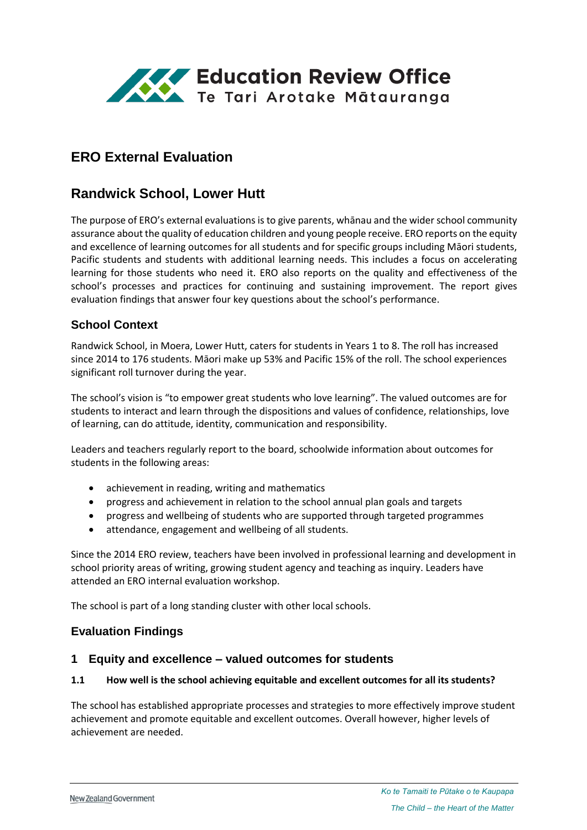

# **ERO External Evaluation**

# **Randwick School, Lower Hutt**

The purpose of ERO's external evaluations is to give parents, whānau and the wider school community assurance about the quality of education children and young people receive. ERO reports on the equity and excellence of learning outcomes for all students and for specific groups including Māori students, Pacific students and students with additional learning needs. This includes a focus on accelerating learning for those students who need it. ERO also reports on the quality and effectiveness of the school's processes and practices for continuing and sustaining improvement. The report gives evaluation findings that answer four key questions about the school's performance.

### **School Context**

Randwick School, in Moera, Lower Hutt, caters for students in Years 1 to 8. The roll has increased since 2014 to 176 students. Māori make up 53% and Pacific 15% of the roll. The school experiences significant roll turnover during the year.

The school's vision is "to empower great students who love learning". The valued outcomes are for students to interact and learn through the dispositions and values of confidence, relationships, love of learning, can do attitude, identity, communication and responsibility.

Leaders and teachers regularly report to the board, schoolwide information about outcomes for students in the following areas:

- achievement in reading, writing and mathematics
- progress and achievement in relation to the school annual plan goals and targets
- progress and wellbeing of students who are supported through targeted programmes
- attendance, engagement and wellbeing of all students.

Since the 2014 ERO review, teachers have been involved in professional learning and development in school priority areas of writing, growing student agency and teaching as inquiry. Leaders have attended an ERO internal evaluation workshop.

The school is part of a long standing cluster with other local schools.

### **Evaluation Findings**

### **1 Equity and excellence – valued outcomes for students**

#### **1.1 How well is the school achieving equitable and excellent outcomes for all its students?**

The school has established appropriate processes and strategies to more effectively improve student achievement and promote equitable and excellent outcomes. Overall however, higher levels of achievement are needed.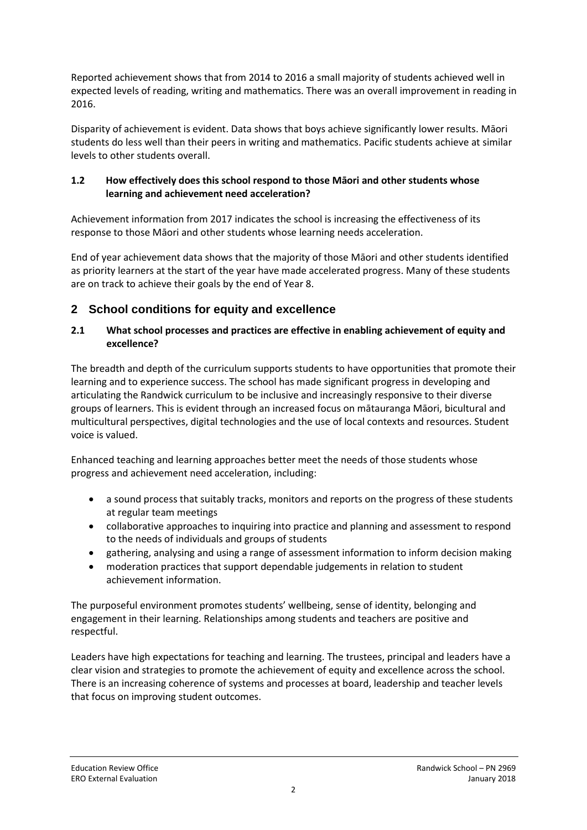Reported achievement shows that from 2014 to 2016 a small majority of students achieved well in expected levels of reading, writing and mathematics. There was an overall improvement in reading in 2016.

Disparity of achievement is evident. Data shows that boys achieve significantly lower results. Māori students do less well than their peers in writing and mathematics. Pacific students achieve at similar levels to other students overall.

### **1.2 How effectively does this school respond to those Māori and other students whose learning and achievement need acceleration?**

Achievement information from 2017 indicates the school is increasing the effectiveness of its response to those Māori and other students whose learning needs acceleration.

End of year achievement data shows that the majority of those Māori and other students identified as priority learners at the start of the year have made accelerated progress. Many of these students are on track to achieve their goals by the end of Year 8.

### **2 School conditions for equity and excellence**

#### **2.1 What school processes and practices are effective in enabling achievement of equity and excellence?**

The breadth and depth of the curriculum supports students to have opportunities that promote their learning and to experience success. The school has made significant progress in developing and articulating the Randwick curriculum to be inclusive and increasingly responsive to their diverse groups of learners. This is evident through an increased focus on mātauranga Māori, bicultural and multicultural perspectives, digital technologies and the use of local contexts and resources. Student voice is valued.

Enhanced teaching and learning approaches better meet the needs of those students whose progress and achievement need acceleration, including:

- a sound process that suitably tracks, monitors and reports on the progress of these students at regular team meetings
- collaborative approaches to inquiring into practice and planning and assessment to respond to the needs of individuals and groups of students
- gathering, analysing and using a range of assessment information to inform decision making
- moderation practices that support dependable judgements in relation to student achievement information.

The purposeful environment promotes students' wellbeing, sense of identity, belonging and engagement in their learning. Relationships among students and teachers are positive and respectful.

Leaders have high expectations for teaching and learning. The trustees, principal and leaders have a clear vision and strategies to promote the achievement of equity and excellence across the school. There is an increasing coherence of systems and processes at board, leadership and teacher levels that focus on improving student outcomes.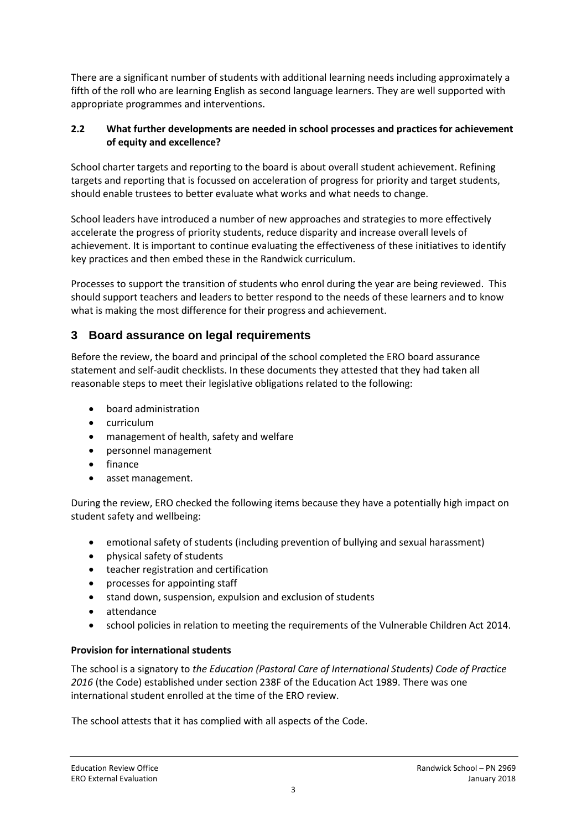There are a significant number of students with additional learning needs including approximately a fifth of the roll who are learning English as second language learners. They are well supported with appropriate programmes and interventions.

#### **2.2 What further developments are needed in school processes and practices for achievement of equity and excellence?**

School charter targets and reporting to the board is about overall student achievement. Refining targets and reporting that is focussed on acceleration of progress for priority and target students, should enable trustees to better evaluate what works and what needs to change.

School leaders have introduced a number of new approaches and strategies to more effectively accelerate the progress of priority students, reduce disparity and increase overall levels of achievement. It is important to continue evaluating the effectiveness of these initiatives to identify key practices and then embed these in the Randwick curriculum.

Processes to support the transition of students who enrol during the year are being reviewed. This should support teachers and leaders to better respond to the needs of these learners and to know what is making the most difference for their progress and achievement.

## **3 Board assurance on legal requirements**

Before the review, the board and principal of the school completed the ERO board assurance statement and self-audit checklists. In these documents they attested that they had taken all reasonable steps to meet their legislative obligations related to the following:

- board administration
- curriculum
- management of health, safety and welfare
- personnel management
- finance
- asset management.

During the review, ERO checked the following items because they have a potentially high impact on student safety and wellbeing:

- emotional safety of students (including prevention of bullying and sexual harassment)
- physical safety of students
- teacher registration and certification
- processes for appointing staff
- stand down, suspension, expulsion and exclusion of students
- attendance
- school policies in relation to meeting the requirements of the Vulnerable Children Act 2014.

#### **Provision for international students**

The school is a signatory to *the Education (Pastoral Care of International Students) Code of Practice 2016* (the Code) established under section 238F of the Education Act 1989. There was one international student enrolled at the time of the ERO review.

The school attests that it has complied with all aspects of the Code.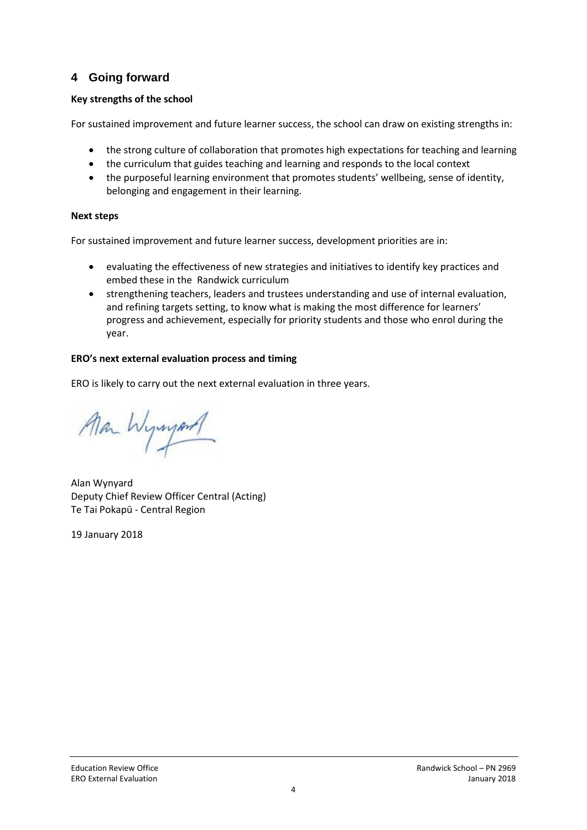## **4 Going forward**

### **Key strengths of the school**

For sustained improvement and future learner success, the school can draw on existing strengths in:

- the strong culture of collaboration that promotes high expectations for teaching and learning
- the curriculum that guides teaching and learning and responds to the local context
- the purposeful learning environment that promotes students' wellbeing, sense of identity, belonging and engagement in their learning.

### **Next steps**

For sustained improvement and future learner success, development priorities are in:

- evaluating the effectiveness of new strategies and initiatives to identify key practices and embed these in the Randwick curriculum
- strengthening teachers, leaders and trustees understanding and use of internal evaluation, and refining targets setting, to know what is making the most difference for learners' progress and achievement, especially for priority students and those who enrol during the year.

### **ERO's next external evaluation process and timing**

ERO is likely to carry out the next external evaluation in three years.

Man Wywyord

Alan Wynyard Deputy Chief Review Officer Central (Acting) Te Tai Pokapū - Central Region

19 January 2018